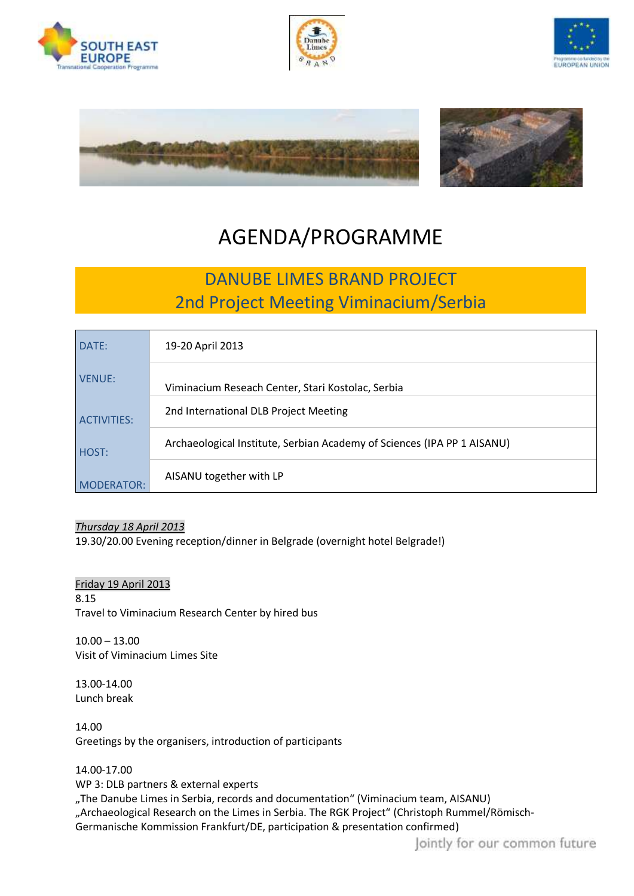









# AGENDA/PROGRAMME

## DANUBE LIMES BRAND PROJECT 2nd Project Meeting Viminacium/Serbia

| DATE:              | 19-20 April 2013                                                        |
|--------------------|-------------------------------------------------------------------------|
| VENUE:             | Viminacium Reseach Center, Stari Kostolac, Serbia                       |
| <b>ACTIVITIES:</b> | 2nd International DLB Project Meeting                                   |
| HOST:              | Archaeological Institute, Serbian Academy of Sciences (IPA PP 1 AISANU) |
| <b>MODERATOR:</b>  | AISANU together with LP                                                 |

### *Thursday 18 April 2013*

19.30/20.00 Evening reception/dinner in Belgrade (overnight hotel Belgrade!)

### Friday 19 April 2013

8.15 Travel to Viminacium Research Center by hired bus

10.00 – 13.00 Visit of Viminacium Limes Site

13.00-14.00 Lunch break

14.00 Greetings by the organisers, introduction of participants

#### 14.00-17.00

WP 3: DLB partners & external experts "The Danube Limes in Serbia, records and documentation" (Viminacium team, AISANU) "Archaeological Research on the Limes in Serbia. The RGK Project" (Christoph Rummel/Römisch-Germanische Kommission Frankfurt/DE, participation & presentation confirmed)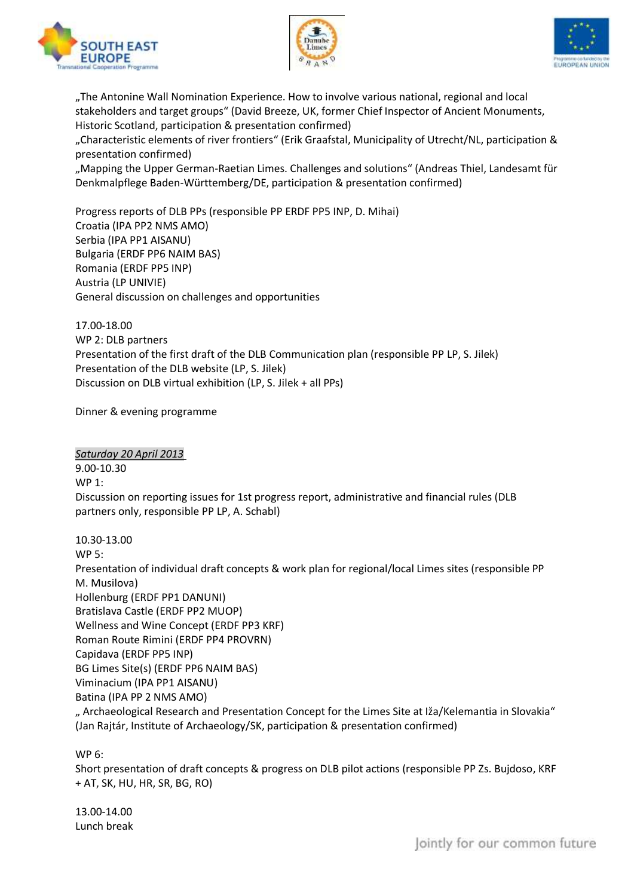





"The Antonine Wall Nomination Experience. How to involve various national, regional and local stakeholders and target groups" (David Breeze, UK, former Chief Inspector of Ancient Monuments, Historic Scotland, participation & presentation confirmed)

"Characteristic elements of river frontiers" (Erik Graafstal, Municipality of Utrecht/NL, participation & presentation confirmed)

"Mapping the Upper German-Raetian Limes. Challenges and solutions" (Andreas Thiel, Landesamt für Denkmalpflege Baden-Württemberg/DE, participation & presentation confirmed)

Progress reports of DLB PPs (responsible PP ERDF PP5 INP, D. Mihai) Croatia (IPA PP2 NMS AMO) Serbia (IPA PP1 AISANU) Bulgaria (ERDF PP6 NAIM BAS) Romania (ERDF PP5 INP) Austria (LP UNIVIE) General discussion on challenges and opportunities

17.00-18.00 WP 2: DLB partners Presentation of the first draft of the DLB Communication plan (responsible PP LP, S. Jilek) Presentation of the DLB website (LP, S. Jilek) Discussion on DLB virtual exhibition (LP, S. Jilek + all PPs)

Dinner & evening programme

*Saturday 20 April 2013* 9.00-10.30 WP 1: Discussion on reporting issues for 1st progress report, administrative and financial rules (DLB partners only, responsible PP LP, A. Schabl)

10.30-13.00 WP 5: Presentation of individual draft concepts & work plan for regional/local Limes sites (responsible PP M. Musilova) Hollenburg (ERDF PP1 DANUNI) Bratislava Castle (ERDF PP2 MUOP) Wellness and Wine Concept (ERDF PP3 KRF) Roman Route Rimini (ERDF PP4 PROVRN) Capidava (ERDF PP5 INP) BG Limes Site(s) (ERDF PP6 NAIM BAS) Viminacium (IPA PP1 AISANU) Batina (IPA PP 2 NMS AMO) " Archaeological Research and Presentation Concept for the Limes Site at Iža/Kelemantia in Slovakia" (Jan Rajtár, Institute of Archaeology/SK, participation & presentation confirmed)

WP 6:

Short presentation of draft concepts & progress on DLB pilot actions (responsible PP Zs. Bujdoso, KRF + AT, SK, HU, HR, SR, BG, RO)

13.00-14.00 Lunch break